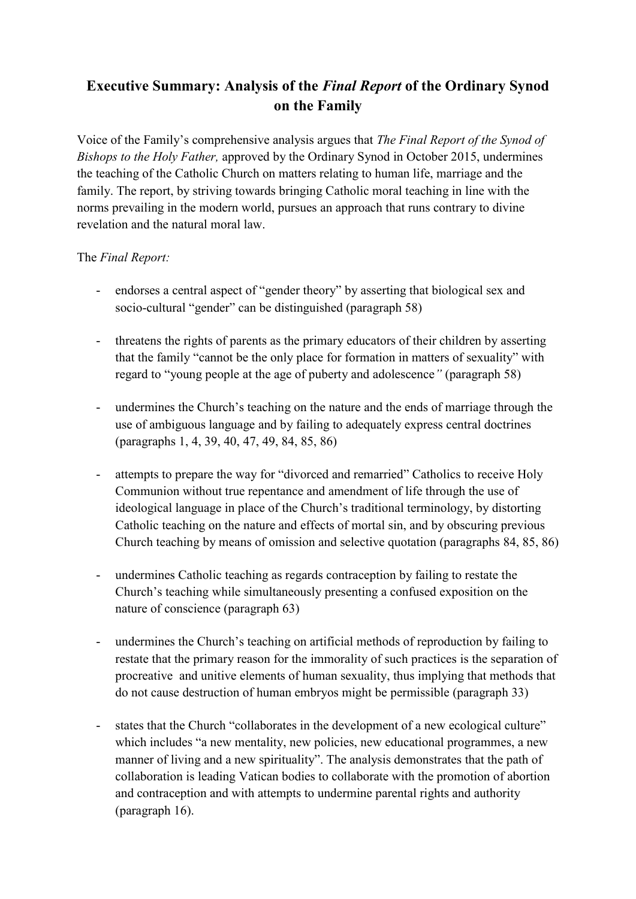## **Executive Summary: Analysis of the** *Final Report* **of the Ordinary Synod on the Family**

Voice of the Family's comprehensive analysis argues that *The Final Report of the Synod of Bishops to the Holy Father,* approved by the Ordinary Synod in October 2015, undermines the teaching of the Catholic Church on matters relating to human life, marriage and the family. The report, by striving towards bringing Catholic moral teaching in line with the norms prevailing in the modern world, pursues an approach that runs contrary to divine revelation and the natural moral law.

## The *Final Report:*

- endorses a central aspect of "gender theory" by asserting that biological sex and socio-cultural "gender" can be distinguished (paragraph 58)
- threatens the rights of parents as the primary educators of their children by asserting that the family "cannot be the only place for formation in matters of sexuality" with regard to "young people at the age of puberty and adolescence*"* (paragraph 58)
- undermines the Church's teaching on the nature and the ends of marriage through the use of ambiguous language and by failing to adequately express central doctrines (paragraphs 1, 4, 39, 40, 47, 49, 84, 85, 86)
- attempts to prepare the way for "divorced and remarried" Catholics to receive Holy Communion without true repentance and amendment of life through the use of ideological language in place of the Church's traditional terminology, by distorting Catholic teaching on the nature and effects of mortal sin, and by obscuring previous Church teaching by means of omission and selective quotation (paragraphs 84, 85, 86)
- undermines Catholic teaching as regards contraception by failing to restate the Church's teaching while simultaneously presenting a confused exposition on the nature of conscience (paragraph 63)
- undermines the Church's teaching on artificial methods of reproduction by failing to restate that the primary reason for the immorality of such practices is the separation of procreative and unitive elements of human sexuality, thus implying that methods that do not cause destruction of human embryos might be permissible (paragraph 33)
- states that the Church "collaborates in the development of a new ecological culture" which includes "a new mentality, new policies, new educational programmes, a new manner of living and a new spirituality". The analysis demonstrates that the path of collaboration is leading Vatican bodies to collaborate with the promotion of abortion and contraception and with attempts to undermine parental rights and authority (paragraph 16).